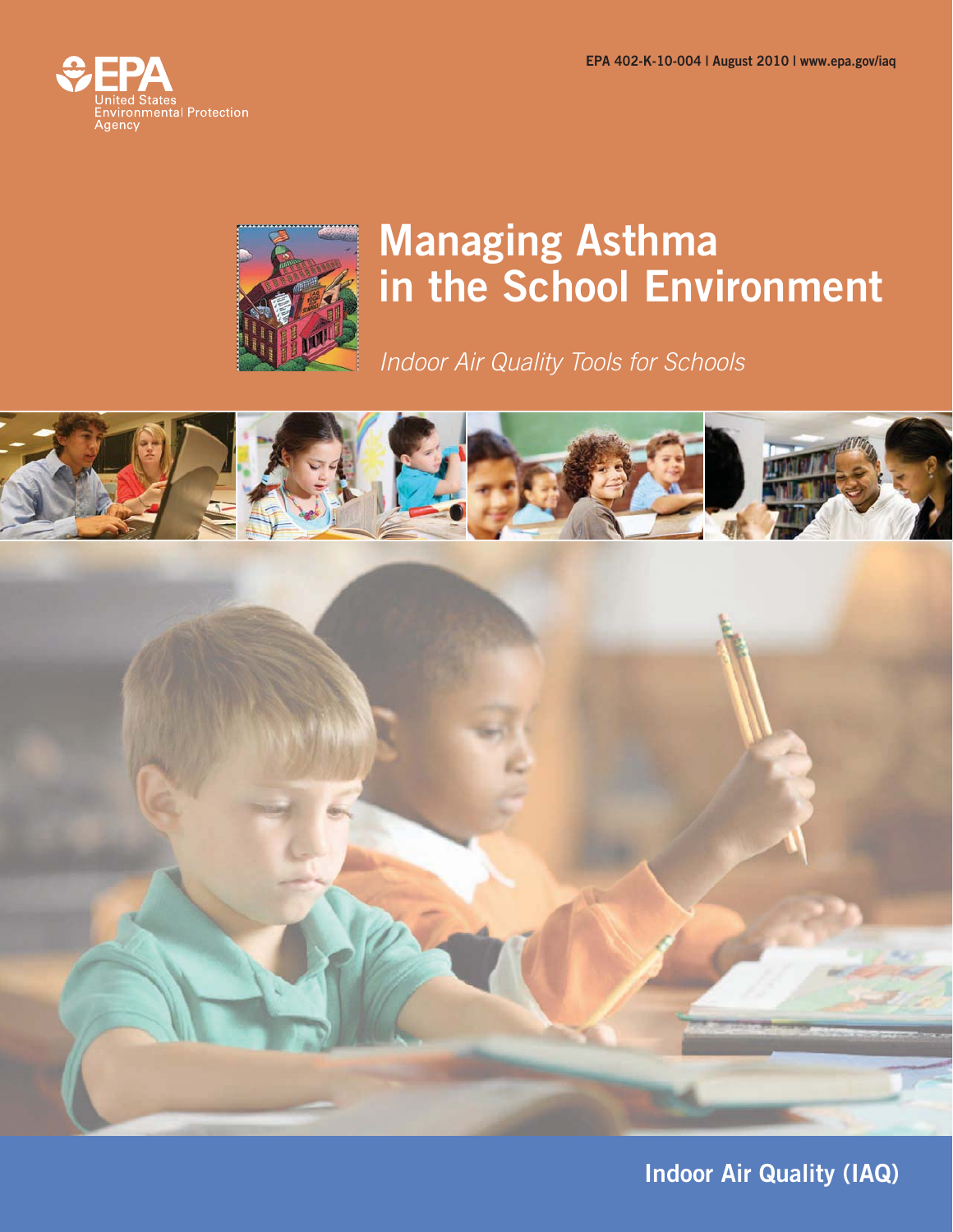



# **Managing Asthma in the School Environment**

Indoor Air Quality Tools for Schools





**Indoor Air Quality (IAQ)**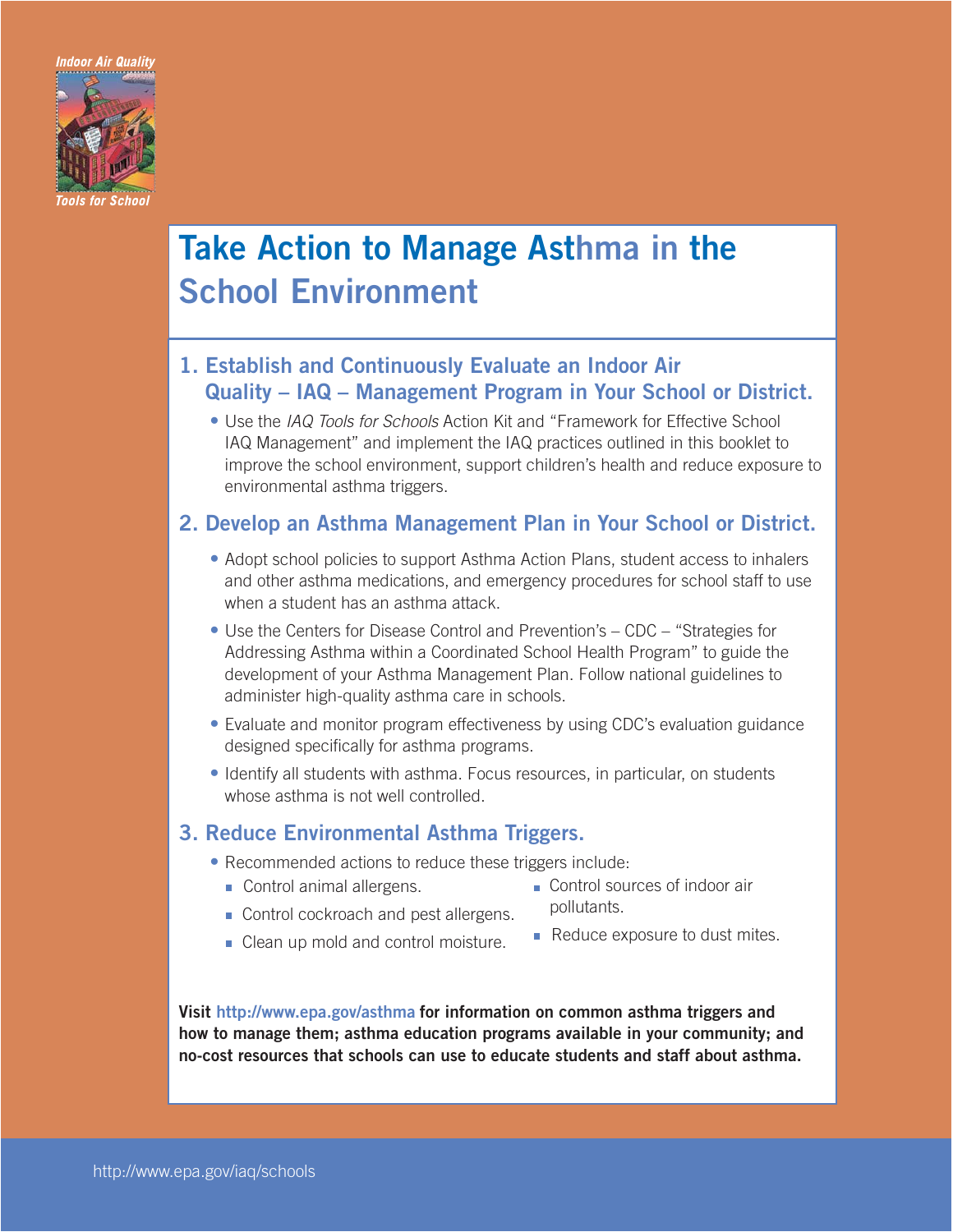Indoor Air Quality



# **Take Action to Manage Asthma in the School Environment**

## **1. Establish and Continuously Evaluate an Indoor Air Quality – IAQ – Management Program in Your School or District.**

**•** Use the IAQ Tools for Schools Action Kit and "Framework for Effective School IAQ Management" and implement the IAQ practices outlined in this booklet to improve the school environment, support children's health and reduce exposure to environmental asthma triggers.

### **2. Develop an Asthma Management Plan in Your School or District.**

- Adopt school policies to support Asthma Action Plans, student access to inhalers and other asthma medications, and emergency procedures for school staff to use when a student has an asthma attack.
- Use the Centers for Disease Control and Prevention's CDC "Strategies for Addressing Asthma within a Coordinated School Health Program" to guide the development of your Asthma Management Plan. Follow national guidelines to administer high-quality asthma care in schools.
- Evaluate and monitor program effectiveness by using CDC's evaluation guidance designed specifically for asthma programs.
- Identify all students with asthma. Focus resources, in particular, on students whose asthma is not well controlled.

### **3. Reduce Environmental Asthma Triggers.**

- Recommended actions to reduce these triggers include:
	- Control animal allergens.
- Control sources of indoor air pollutants.
- Control cockroach and pest allergens. • Clean up mold and control moisture.
- Reduce exposure to dust mites.

**Visit http://www.epa.gov/asthma for information on common asthma triggers and how to manage them; asthma education programs available in your community; and no-cost resources that schools can use to educate students and staff about asthma.**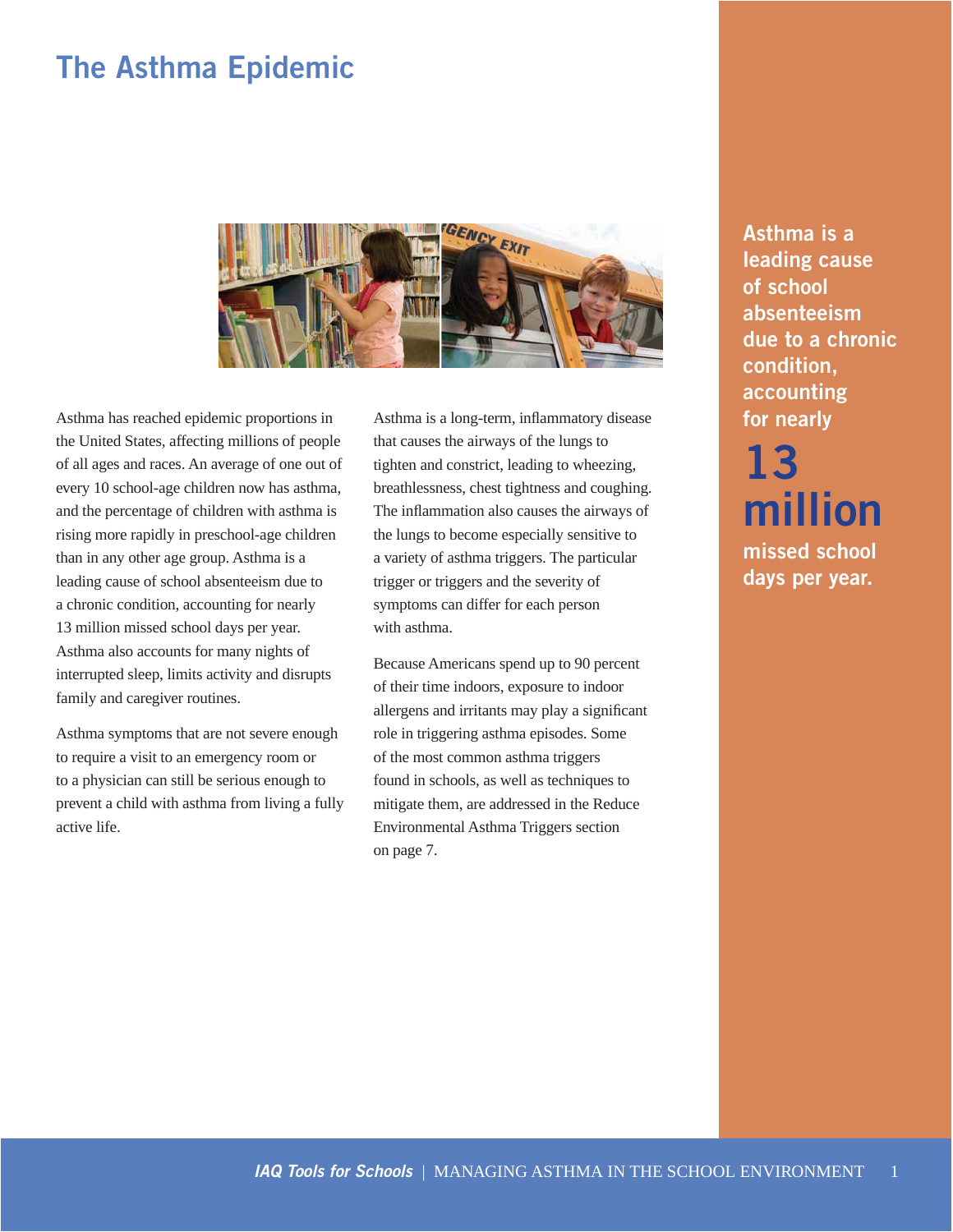# **The Asthma Epidemic**



Asthma has reached epidemic proportions in the United States, affecting millions of people of all ages and races. An average of one out of every 10 school-age children now has asthma, and the percentage of children with asthma is rising more rapidly in preschool-age children than in any other age group. Asthma is a leading cause of school absenteeism due to a chronic condition, accounting for nearly 13 million missed school days per year. Asthma also accounts for many nights of interrupted sleep, limits activity and disrupts family and caregiver routines.

Asthma symptoms that are not severe enough to require a visit to an emergency room or to a physician can still be serious enough to prevent a child with asthma from living a fully active life.

Asthma is a long-term, inflammatory disease that causes the airways of the lungs to tighten and constrict, leading to wheezing, breathlessness, chest tightness and coughing. The inflammation also causes the airways of the lungs to become especially sensitive to a variety of asthma triggers. The particular trigger or triggers and the severity of symptoms can differ for each person with asthma.

Because Americans spend up to 90 percent of their time indoors, exposure to indoor allergens and irritants may play a significant role in triggering asthma episodes. Some of the most common asthma triggers found in schools, as well as techniques to mitigate them, are addressed in the Reduce Environmental Asthma Triggers section on page 7.

**Asthma is a leading cause of school absenteeism due to a chronic condition, accounting for nearly** 

**13 million** 

**missed school days per year.**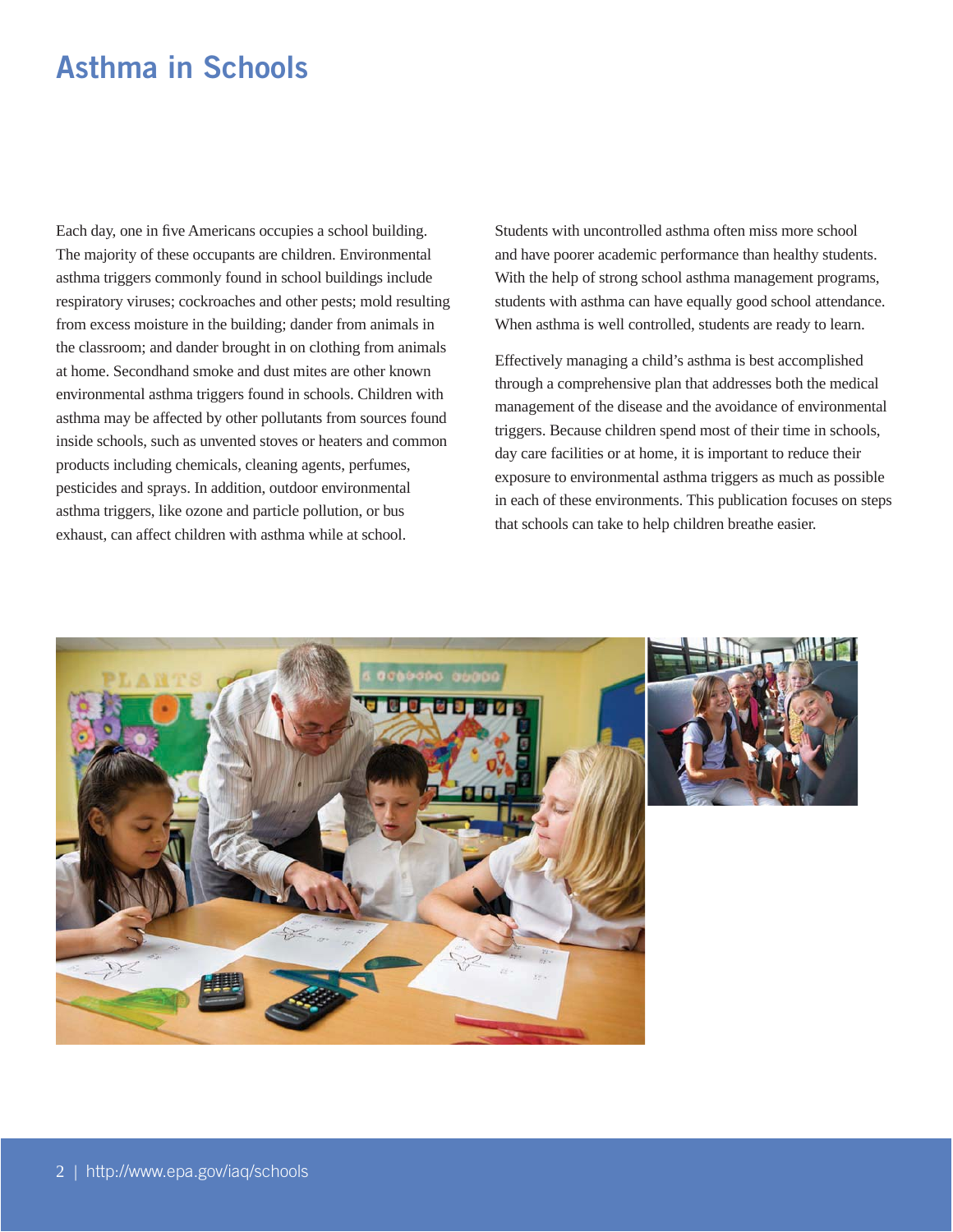# **Asthma in Schools**

Each day, one in five Americans occupies a school building. The majority of these occupants are children. Environmental asthma triggers commonly found in school buildings include respiratory viruses; cockroaches and other pests; mold resulting from excess moisture in the building; dander from animals in the classroom; and dander brought in on clothing from animals at home. Secondhand smoke and dust mites are other known environmental asthma triggers found in schools. Children with asthma may be affected by other pollutants from sources found inside schools, such as unvented stoves or heaters and common products including chemicals, cleaning agents, perfumes, pesticides and sprays. In addition, outdoor environmental asthma triggers, like ozone and particle pollution, or bus exhaust, can affect children with asthma while at school.

Students with uncontrolled asthma often miss more school and have poorer academic performance than healthy students. With the help of strong school asthma management programs, students with asthma can have equally good school attendance. When asthma is well controlled, students are ready to learn.

Effectively managing a child's asthma is best accomplished through a comprehensive plan that addresses both the medical management of the disease and the avoidance of environmental triggers. Because children spend most of their time in schools, day care facilities or at home, it is important to reduce their exposure to environmental asthma triggers as much as possible in each of these environments. This publication focuses on steps that schools can take to help children breathe easier.

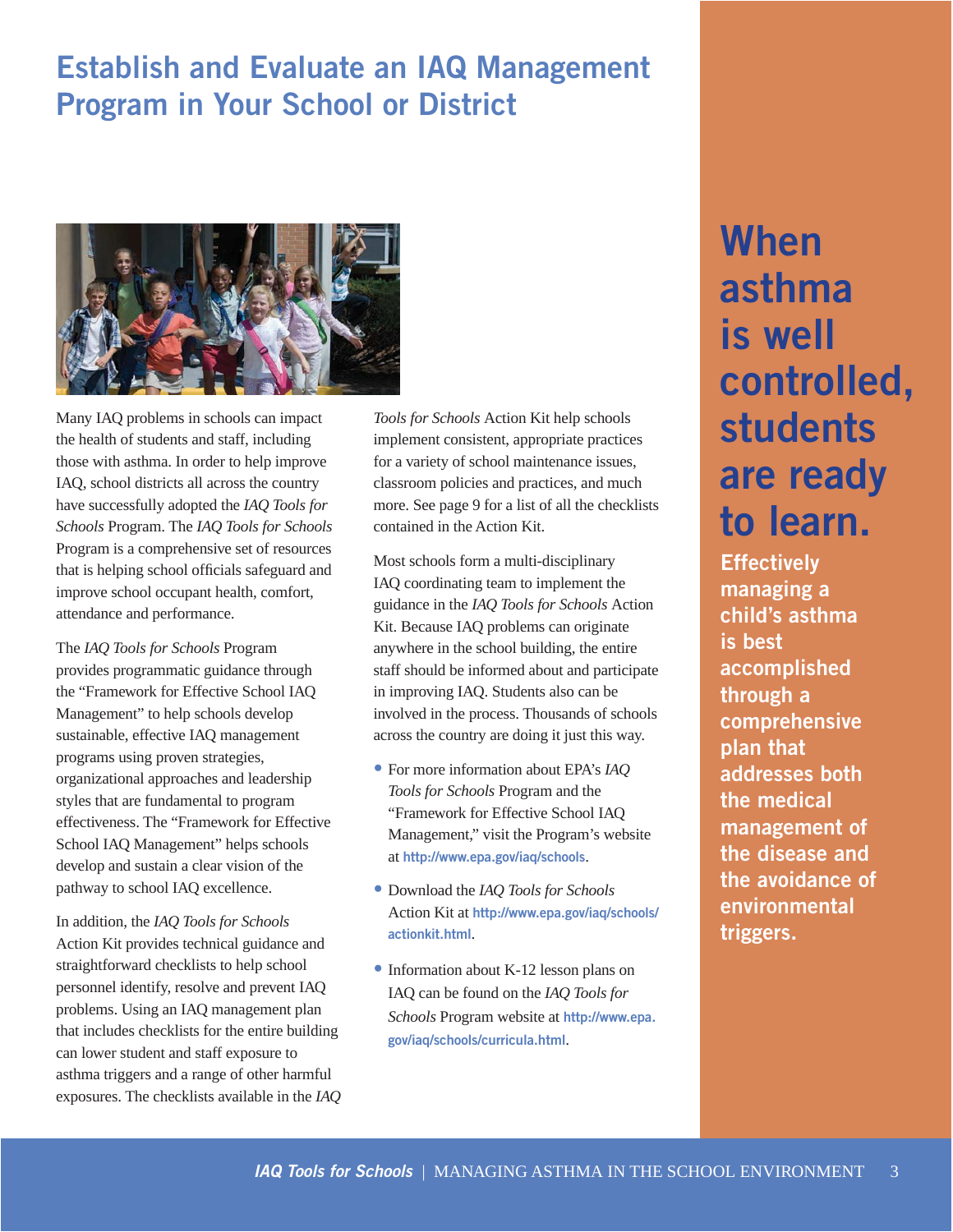# **Establish and Evaluate an IAQ Management Program in Your School or District**



Many IAQ problems in schools can impact the health of students and staff, including those with asthma. In order to help improve IAQ, school districts all across the country have successfully adopted the *IAQ Tools for Schools* Program. The *IAQ Tools for Schools*  Program is a comprehensive set of resources that is helping school officials safeguard and improve school occupant health, comfort, attendance and performance.

The *IAQ Tools for Schools* Program provides programmatic guidance through the "Framework for Effective School IAQ Management" to help schools develop sustainable, effective IAQ management programs using proven strategies, organizational approaches and leadership styles that are fundamental to program effectiveness. The "Framework for Effective School IAQ Management" helps schools develop and sustain a clear vision of the pathway to school IAQ excellence.

In addition, the *IAQ Tools for Schools*  Action Kit provides technical guidance and straightforward checklists to help school personnel identify, resolve and prevent IAQ problems. Using an IAQ management plan that includes checklists for the entire building can lower student and staff exposure to asthma triggers and a range of other harmful exposures. The checklists available in the *IAQ* 

*Tools for Schools* Action Kit help schools implement consistent, appropriate practices for a variety of school maintenance issues, classroom policies and practices, and much more. See page 9 for a list of all the checklists contained in the Action Kit.

Most schools form a multi-disciplinary IAQ coordinating team to implement the guidance in the *IAQ Tools for Schools* Action Kit. Because IAQ problems can originate anywhere in the school building, the entire staff should be informed about and participate in improving IAQ. Students also can be involved in the process. Thousands of schools across the country are doing it just this way.

- For more information about EPA's *IAQ Tools for Schools* Program and the "Framework for Effective School IAQ Management," visit the Program's website at **http://www.epa.gov/iaq/schools**.
- Download the *IAQ Tools for Schools*  Action Kit at **http://www.epa.gov/iaq/schools/ actionkit.html**.
- Information about K-12 lesson plans on IAQ can be found on the *IAQ Tools for Schools* Program website at **http://www.epa.**  gov/iaq/schools/curricula.html.

# **When asthma is well controlled, students are ready to learn.**

**Effectively managing a child's asthma is best accomplished through a comprehensive plan that addresses both the medical management of the disease and the avoidance of environmental triggers.**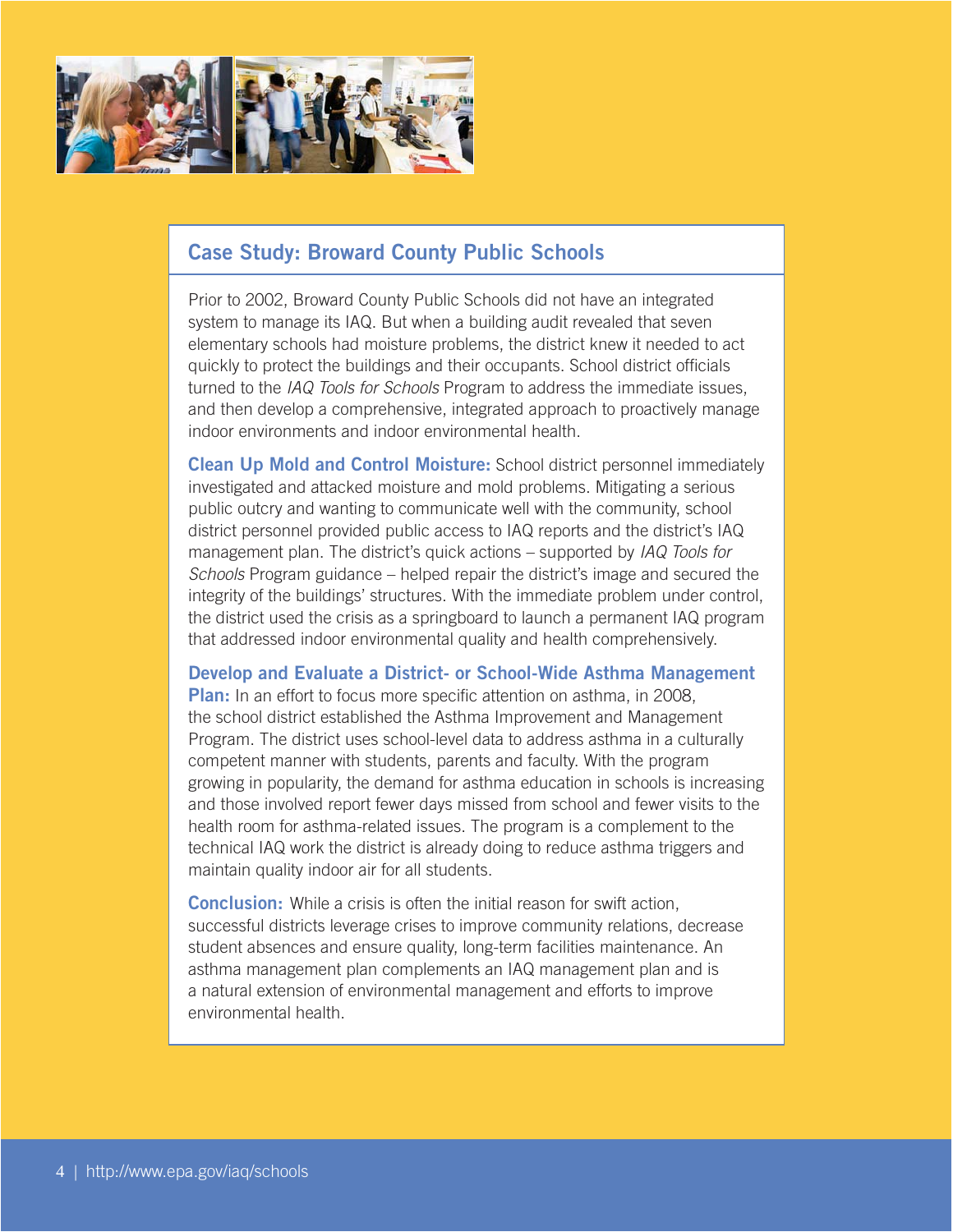

### **Case Study: Broward County Public Schools**

Prior to 2002, Broward County Public Schools did not have an integrated system to manage its IAQ. But when a building audit revealed that seven elementary schools had moisture problems, the district knew it needed to act quickly to protect the buildings and their occupants. School district officials turned to the IAQ Tools for Schools Program to address the immediate issues, and then develop a comprehensive, integrated approach to proactively manage indoor environments and indoor environmental health.

**Clean Up Mold and Control Moisture:** School district personnel immediately investigated and attacked moisture and mold problems. Mitigating a serious public outcry and wanting to communicate well with the community, school district personnel provided public access to IAQ reports and the district's IAQ management plan. The district's quick actions – supported by IAQ Tools for Schools Program guidance – helped repair the district's image and secured the integrity of the buildings' structures. With the immediate problem under control, the district used the crisis as a springboard to launch a permanent IAQ program that addressed indoor environmental quality and health comprehensively.

**Develop and Evaluate a District- or School-Wide Asthma Management Plan:** In an effort to focus more specific attention on asthma, in 2008, the school district established the Asthma Improvement and Management Program. The district uses school-level data to address asthma in a culturally competent manner with students, parents and faculty. With the program growing in popularity, the demand for asthma education in schools is increasing and those involved report fewer days missed from school and fewer visits to the health room for asthma-related issues. The program is a complement to the technical IAQ work the district is already doing to reduce asthma triggers and maintain quality indoor air for all students.

**Conclusion:** While a crisis is often the initial reason for swift action, successful districts leverage crises to improve community relations, decrease student absences and ensure quality, long-term facilities maintenance. An asthma management plan complements an IAQ management plan and is a natural extension of environmental management and efforts to improve environmental health.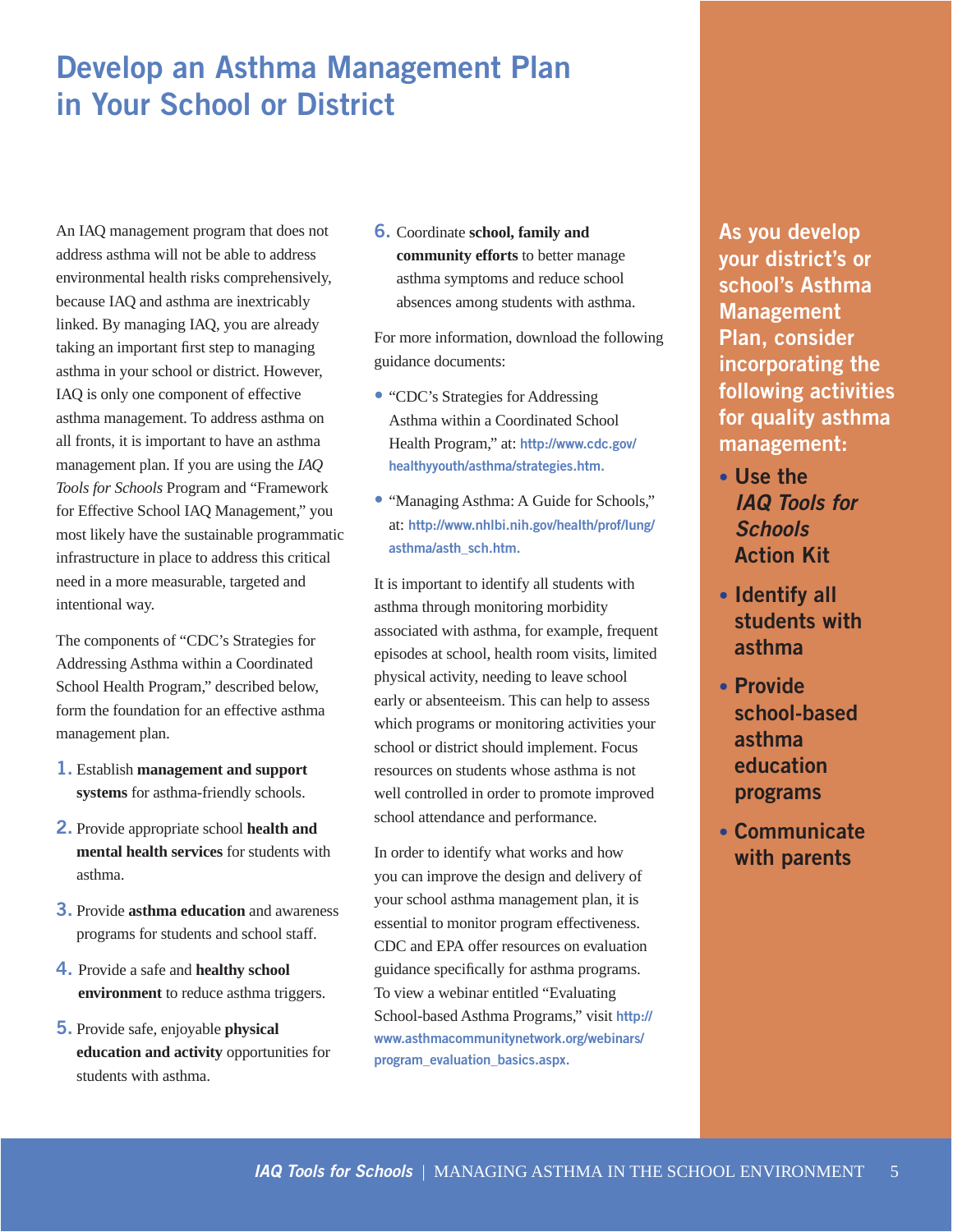# **Develop an Asthma Management Plan in Your School or District**

An IAQ management program that does not address asthma will not be able to address environmental health risks comprehensively, because IAQ and asthma are inextricably linked. By managing IAQ, you are already taking an important first step to managing asthma in your school or district. However, IAQ is only one component of effective asthma management. To address asthma on all fronts, it is important to have an asthma management plan. If you are using the *IAQ Tools for Schools* Program and "Framework for Effective School IAQ Management," you most likely have the sustainable programmatic infrastructure in place to address this critical need in a more measurable, targeted and intentional way.

The components of "CDC's Strategies for Addressing Asthma within a Coordinated School Health Program," described below, form the foundation for an effective asthma management plan.

- **1.** Establish **management and support systems** for asthma-friendly schools.
- **2.** Provide appropriate school **health and mental health services** for students with asthma.
- **3.** Provide **asthma education** and awareness programs for students and school staff.
- **4.** Provide a safe and **healthy school environment** to reduce asthma triggers.
- **5.** Provide safe, enjoyable **physical education and activity** opportunities for students with asthma.

**6.** Coordinate **school, family and community efforts** to better manage asthma symptoms and reduce school absences among students with asthma.

For more information, download the following guidance documents:

- "CDC's Strategies for Addressing Asthma within a Coordinated School Health Program," at: **http://www.cdc.gov/ healthyyouth/asthma/strategies.htm.**
- "Managing Asthma: A Guide for Schools," at: **http://www.nhlbi.nih.gov/health/prof/lung/ asthma/asth\_sch.htm.**

It is important to identify all students with asthma through monitoring morbidity associated with asthma, for example, frequent episodes at school, health room visits, limited physical activity, needing to leave school early or absenteeism. This can help to assess which programs or monitoring activities your school or district should implement. Focus resources on students whose asthma is not well controlled in order to promote improved school attendance and performance.

In order to identify what works and how you can improve the design and delivery of your school asthma management plan, it is essential to monitor program effectiveness. CDC and EPA offer resources on evaluation guidance specifically for asthma programs. To view a webinar entitled "Evaluating School-based Asthma Programs," visit **http:// www.asthmacommunitynetwork.org/webinars/ program\_evaluation\_basics.aspx.** 

**As you develop your district's or school's Asthma Management Plan, consider incorporating the following activities for quality asthma management:** 

- **Use the**  *IAQ Tools for Schools*  **Action Kit**
- **Identify all students with asthma**
- **Provide school-based asthma education programs**
- **Communicate with parents**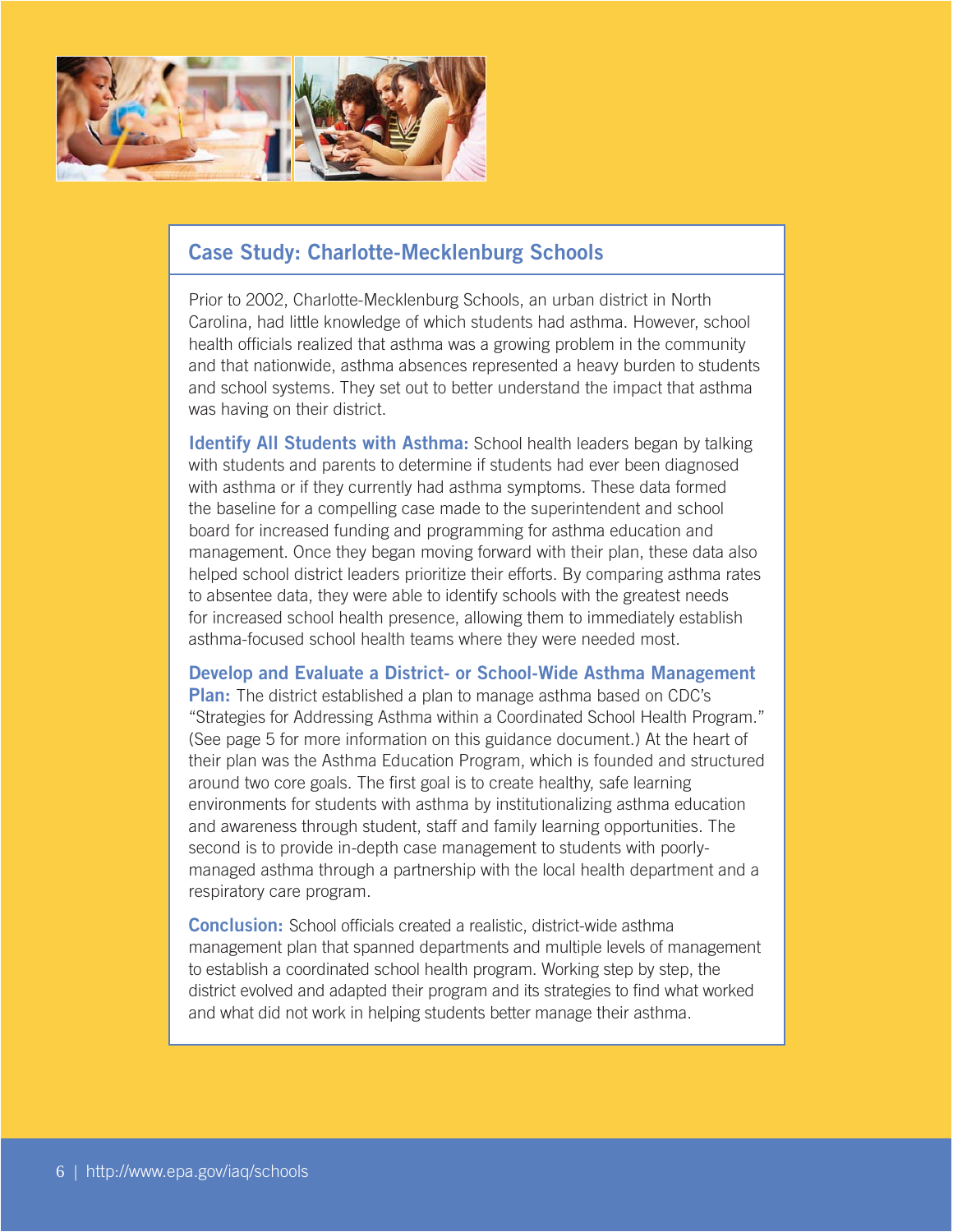

### **Case Study: Charlotte-Mecklenburg Schools**

Prior to 2002, Charlotte-Mecklenburg Schools, an urban district in North Carolina, had little knowledge of which students had asthma. However, school health officials realized that asthma was a growing problem in the community and that nationwide, asthma absences represented a heavy burden to students and school systems. They set out to better understand the impact that asthma was having on their district.

**Identify All Students with Asthma:** School health leaders began by talking with students and parents to determine if students had ever been diagnosed with asthma or if they currently had asthma symptoms. These data formed the baseline for a compelling case made to the superintendent and school board for increased funding and programming for asthma education and management. Once they began moving forward with their plan, these data also helped school district leaders prioritize their efforts. By comparing asthma rates to absentee data, they were able to identify schools with the greatest needs for increased school health presence, allowing them to immediately establish asthma-focused school health teams where they were needed most.

**Develop and Evaluate a District- or School-Wide Asthma Management Plan:** The district established a plan to manage asthma based on CDC's "Strategies for Addressing Asthma within a Coordinated School Health Program." (See page 5 for more information on this guidance document.) At the heart of their plan was the Asthma Education Program, which is founded and structured around two core goals. The first goal is to create healthy, safe learning environments for students with asthma by institutionalizing asthma education and awareness through student, staff and family learning opportunities. The second is to provide in-depth case management to students with poorlymanaged asthma through a partnership with the local health department and a respiratory care program.

**Conclusion:** School officials created a realistic, district-wide asthma management plan that spanned departments and multiple levels of management to establish a coordinated school health program. Working step by step, the district evolved and adapted their program and its strategies to find what worked and what did not work in helping students better manage their asthma.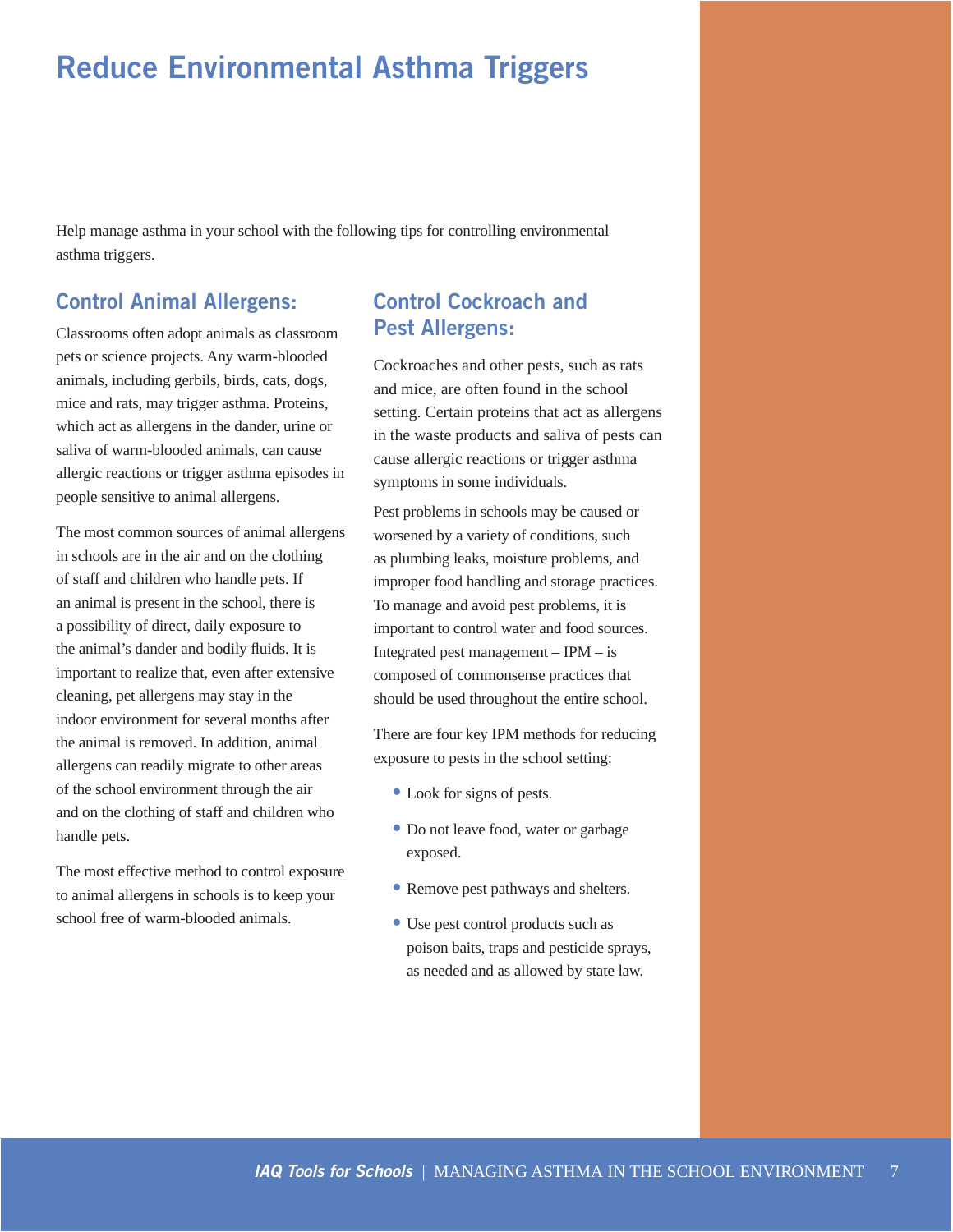# **Reduce Environmental Asthma Triggers**

Help manage asthma in your school with the following tips for controlling environmental asthma triggers.

### **Control Animal Allergens:**

Classrooms often adopt animals as classroom pets or science projects. Any warm-blooded animals, including gerbils, birds, cats, dogs, mice and rats, may trigger asthma. Proteins, which act as allergens in the dander, urine or saliva of warm-blooded animals, can cause allergic reactions or trigger asthma episodes in people sensitive to animal allergens.

The most common sources of animal allergens in schools are in the air and on the clothing of staff and children who handle pets. If an animal is present in the school, there is a possibility of direct, daily exposure to the animal's dander and bodily fluids. It is important to realize that, even after extensive cleaning, pet allergens may stay in the indoor environment for several months after the animal is removed. In addition, animal allergens can readily migrate to other areas of the school environment through the air and on the clothing of staff and children who handle pets.

The most effective method to control exposure to animal allergens in schools is to keep your school free of warm-blooded animals.

### **Control Cockroach and Pest Allergens:**

Cockroaches and other pests, such as rats and mice, are often found in the school setting. Certain proteins that act as allergens in the waste products and saliva of pests can cause allergic reactions or trigger asthma symptoms in some individuals.

Pest problems in schools may be caused or worsened by a variety of conditions, such as plumbing leaks, moisture problems, and improper food handling and storage practices. To manage and avoid pest problems, it is important to control water and food sources. Integrated pest management – IPM – is composed of commonsense practices that should be used throughout the entire school.

There are four key IPM methods for reducing exposure to pests in the school setting:

- Look for signs of pests.
- Do not leave food, water or garbage exposed.
- Remove pest pathways and shelters.
- Use pest control products such as poison baits, traps and pesticide sprays, as needed and as allowed by state law.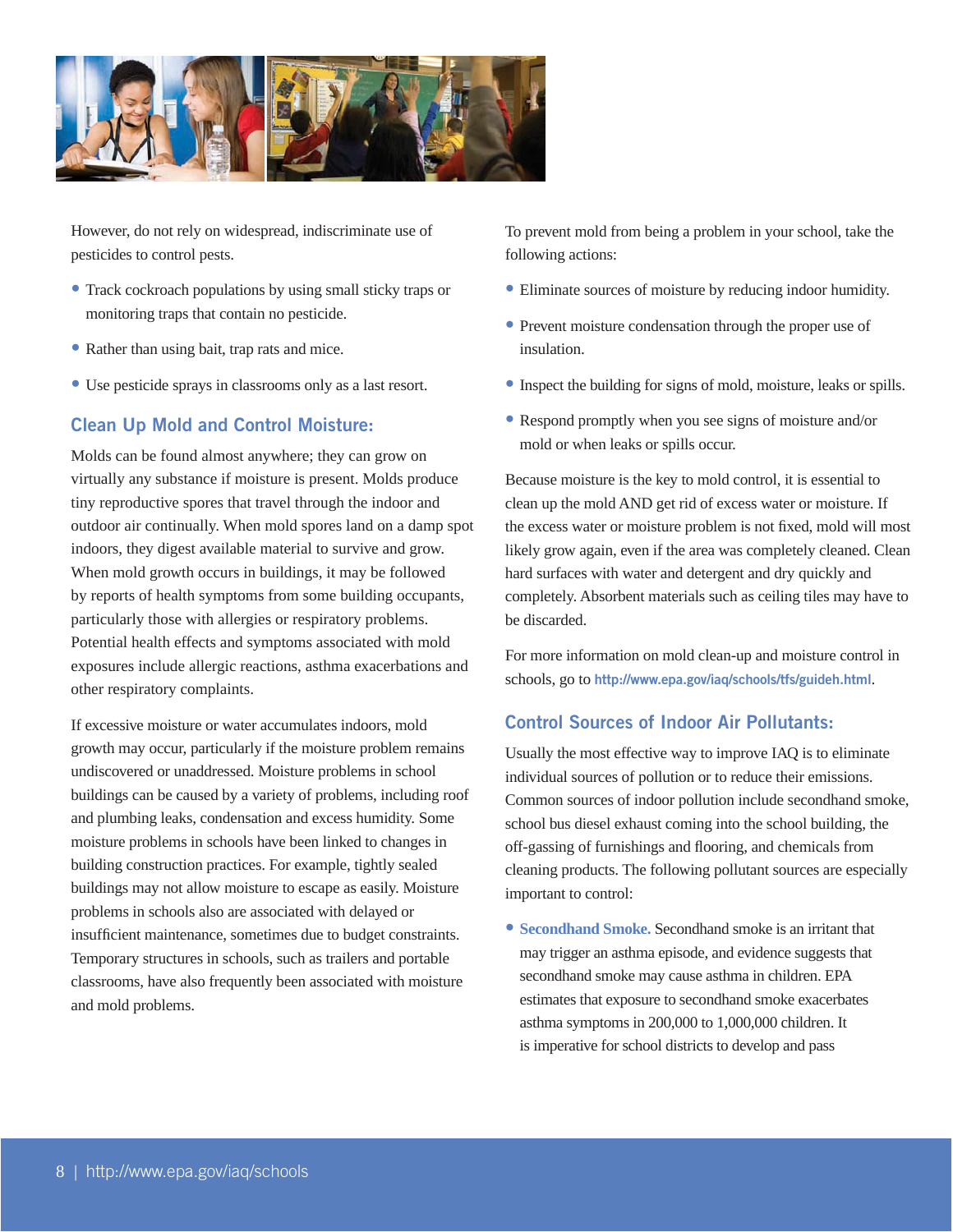

However, do not rely on widespread, indiscriminate use of pesticides to control pests.

- Track cockroach populations by using small sticky traps or monitoring traps that contain no pesticide.
- Rather than using bait, trap rats and mice.
- Use pesticide sprays in classrooms only as a last resort.

### **Clean Up Mold and Control Moisture:**

Molds can be found almost anywhere; they can grow on virtually any substance if moisture is present. Molds produce tiny reproductive spores that travel through the indoor and outdoor air continually. When mold spores land on a damp spot indoors, they digest available material to survive and grow. When mold growth occurs in buildings, it may be followed by reports of health symptoms from some building occupants, particularly those with allergies or respiratory problems. Potential health effects and symptoms associated with mold exposures include allergic reactions, asthma exacerbations and other respiratory complaints.

If excessive moisture or water accumulates indoors, mold growth may occur, particularly if the moisture problem remains undiscovered or unaddressed. Moisture problems in school buildings can be caused by a variety of problems, including roof and plumbing leaks, condensation and excess humidity. Some moisture problems in schools have been linked to changes in building construction practices. For example, tightly sealed buildings may not allow moisture to escape as easily. Moisture problems in schools also are associated with delayed or insufficient maintenance, sometimes due to budget constraints. Temporary structures in schools, such as trailers and portable classrooms, have also frequently been associated with moisture and mold problems.

To prevent mold from being a problem in your school, take the following actions:

- Eliminate sources of moisture by reducing indoor humidity.
- Prevent moisture condensation through the proper use of insulation.
- Inspect the building for signs of mold, moisture, leaks or spills.
- Respond promptly when you see signs of moisture and/or mold or when leaks or spills occur.

Because moisture is the key to mold control, it is essential to clean up the mold AND get rid of excess water or moisture. If the excess water or moisture problem is not fixed, mold will most likely grow again, even if the area was completely cleaned. Clean hard surfaces with water and detergent and dry quickly and completely. Absorbent materials such as ceiling tiles may have to be discarded.

For more information on mold clean-up and moisture control in schools, go to **http://www.epa.gov/iaq/schools/tfs/guideh.html**.

### **Control Sources of Indoor Air Pollutants:**

Usually the most effective way to improve IAQ is to eliminate individual sources of pollution or to reduce their emissions. Common sources of indoor pollution include secondhand smoke, school bus diesel exhaust coming into the school building, the off-gassing of furnishings and flooring, and chemicals from cleaning products. The following pollutant sources are especially important to control:

**• Secondhand Smoke.** Secondhand smoke is an irritant that may trigger an asthma episode, and evidence suggests that secondhand smoke may cause asthma in children. EPA estimates that exposure to secondhand smoke exacerbates asthma symptoms in 200,000 to 1,000,000 children. It is imperative for school districts to develop and pass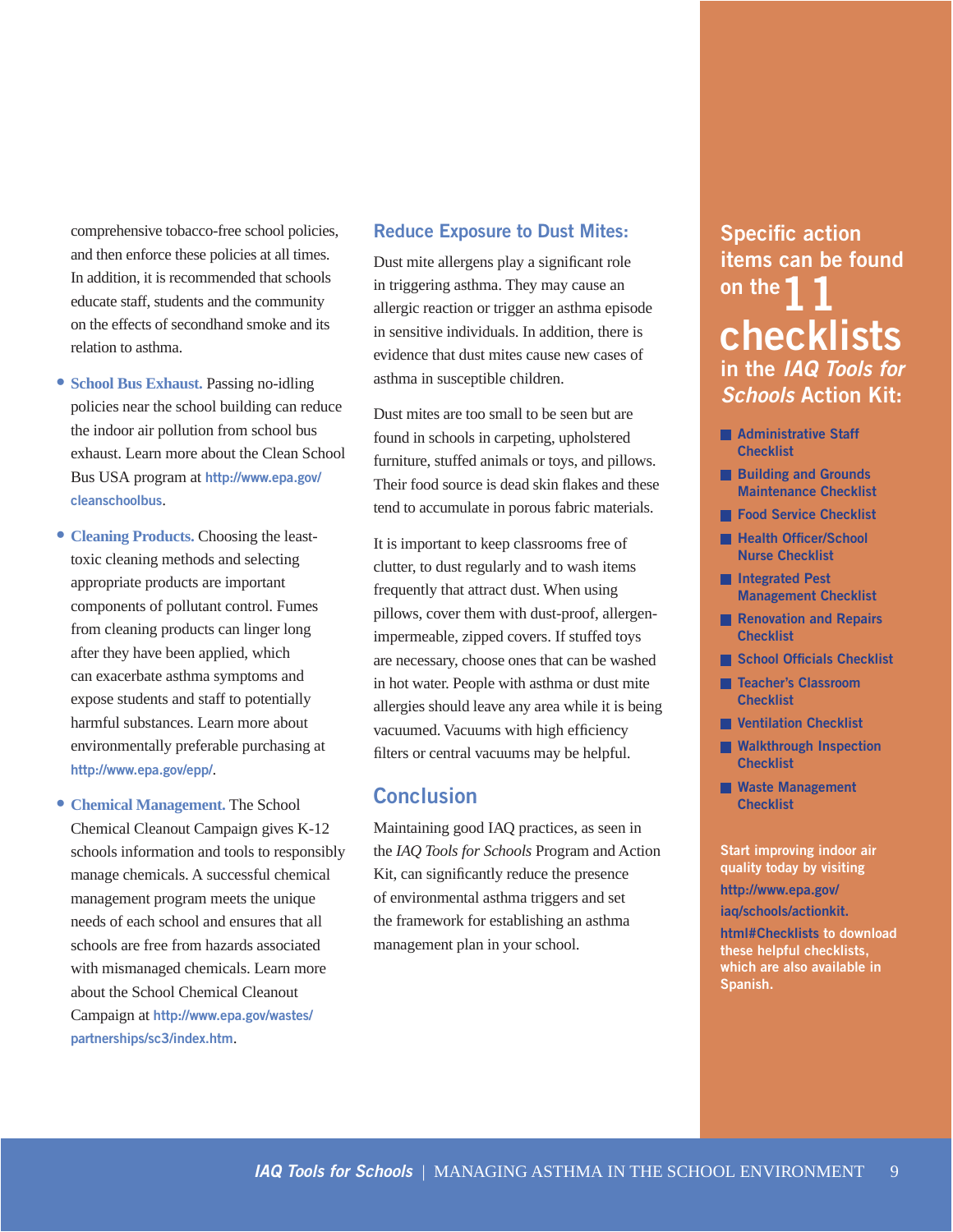comprehensive tobacco-free school policies, and then enforce these policies at all times. In addition, it is recommended that schools educate staff, students and the community on the effects of secondhand smoke and its relation to asthma.

- **School Bus Exhaust.** Passing no-idling policies near the school building can reduce the indoor air pollution from school bus exhaust. Learn more about the Clean School Bus USA program at **http://www.epa.gov/ cleanschoolbus**.
- **Cleaning Products.** Choosing the leasttoxic cleaning methods and selecting appropriate products are important components of pollutant control. Fumes from cleaning products can linger long after they have been applied, which can exacerbate asthma symptoms and expose students and staff to potentially harmful substances. Learn more about environmentally preferable purchasing at **http://www.epa.gov/epp/**.
- **Chemical Management.** The School Chemical Cleanout Campaign gives K-12 schools information and tools to responsibly manage chemicals. A successful chemical management program meets the unique needs of each school and ensures that all schools are free from hazards associated with mismanaged chemicals. Learn more about the School Chemical Cleanout Campaign at **http://www.epa.gov/wastes/ partnerships/sc3/index.htm**.

### **Reduce Exposure to Dust Mites:**

Dust mite allergens play a significant role in triggering asthma. They may cause an allergic reaction or trigger an asthma episode in sensitive individuals. In addition, there is evidence that dust mites cause new cases of asthma in susceptible children.

Dust mites are too small to be seen but are found in schools in carpeting, upholstered furniture, stuffed animals or toys, and pillows. Their food source is dead skin flakes and these tend to accumulate in porous fabric materials.

It is important to keep classrooms free of clutter, to dust regularly and to wash items frequently that attract dust. When using pillows, cover them with dust-proof, allergenimpermeable, zipped covers. If stuffed toys are necessary, choose ones that can be washed in hot water. People with asthma or dust mite allergies should leave any area while it is being vacuumed. Vacuums with high efficiency filters or central vacuums may be helpful.

### **Conclusion**

Maintaining good IAQ practices, as seen in the *IAQ Tools for Schools* Program and Action Kit, can significantly reduce the presence of environmental asthma triggers and set the framework for establishing an asthma management plan in your school.

## **Specific action items can be found on the 1 checklists in the** *IAQ Tools for Schools* **Action Kit:**

- **Administrative Staff Checklist**
- **Building and Grounds Maintenance Checklist**
- **Food Service Checklist**
- **Health Officer/School Nurse Checklist**
- **Integrated Pest Management Checklist**
- **Renovation and Repairs Checklist**
- **School Officials Checklist**
- **Teacher's Classroom Checklist**
- **Ventilation Checklist**
- **Walkthrough Inspection Checklist**
- **Waste Management Checklist**

**Start improving indoor air quality today by visiting http://www.epa.gov/ iaq/schools/actionkit.** 

**html#Checklists to download these helpful checklists, which are also available in Spanish.**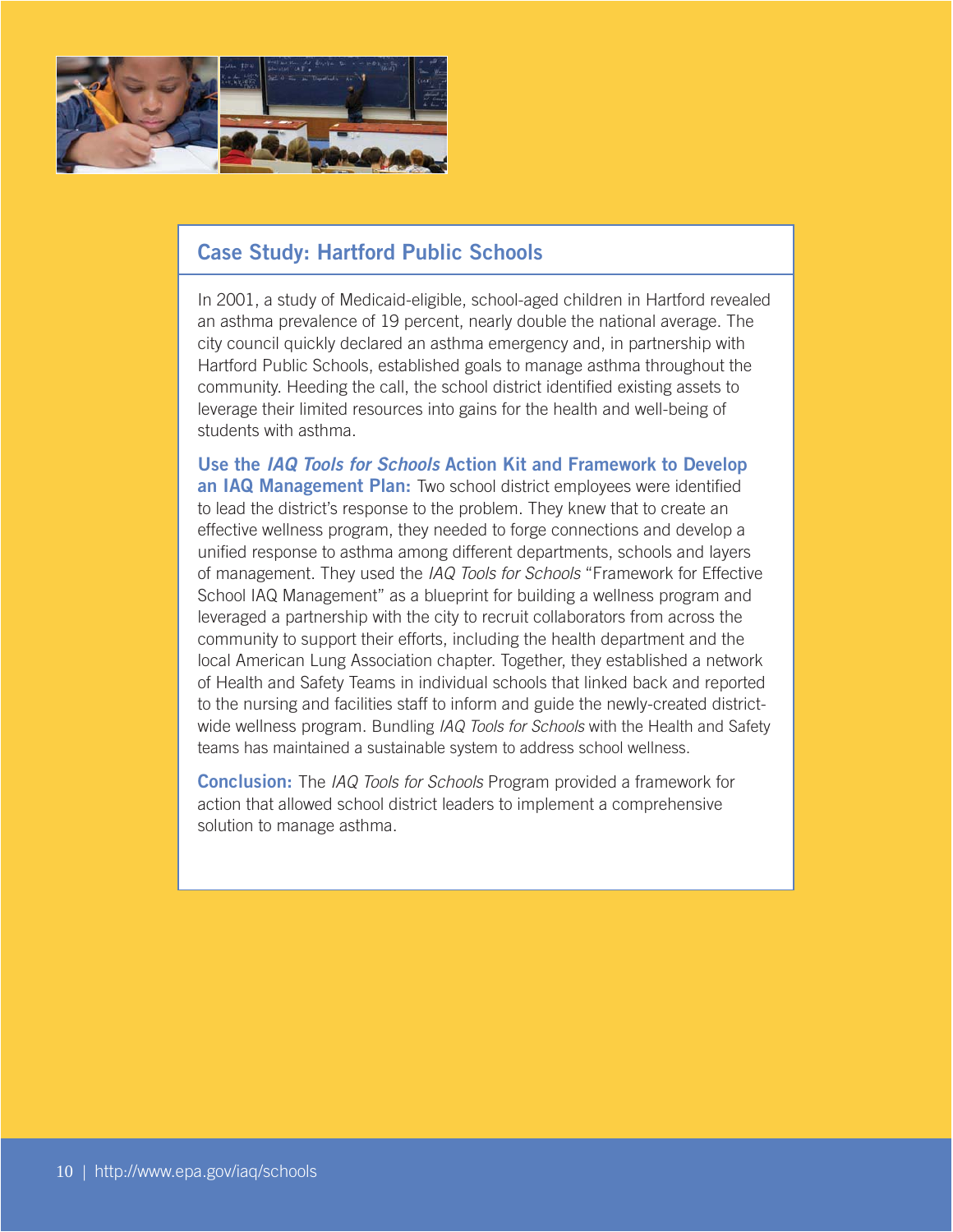

### **Case Study: Hartford Public Schools**

In 2001, a study of Medicaid-eligible, school-aged children in Hartford revealed an asthma prevalence of 19 percent, nearly double the national average. The city council quickly declared an asthma emergency and, in partnership with Hartford Public Schools, established goals to manage asthma throughout the community. Heeding the call, the school district identified existing assets to leverage their limited resources into gains for the health and well-being of students with asthma.

**Use the** *IAQ Tools for Schools* **Action Kit and Framework to Develop an IAQ Management Plan:** Two school district employees were identified to lead the district's response to the problem. They knew that to create an effective wellness program, they needed to forge connections and develop a unified response to asthma among different departments, schools and layers of management. They used the IAQ Tools for Schools "Framework for Effective School IAQ Management" as a blueprint for building a wellness program and leveraged a partnership with the city to recruit collaborators from across the community to support their efforts, including the health department and the local American Lung Association chapter. Together, they established a network of Health and Safety Teams in individual schools that linked back and reported to the nursing and facilities staff to inform and guide the newly-created districtwide wellness program. Bundling IAQ Tools for Schools with the Health and Safety teams has maintained a sustainable system to address school wellness.

**Conclusion:** The IAQ Tools for Schools Program provided a framework for action that allowed school district leaders to implement a comprehensive solution to manage asthma.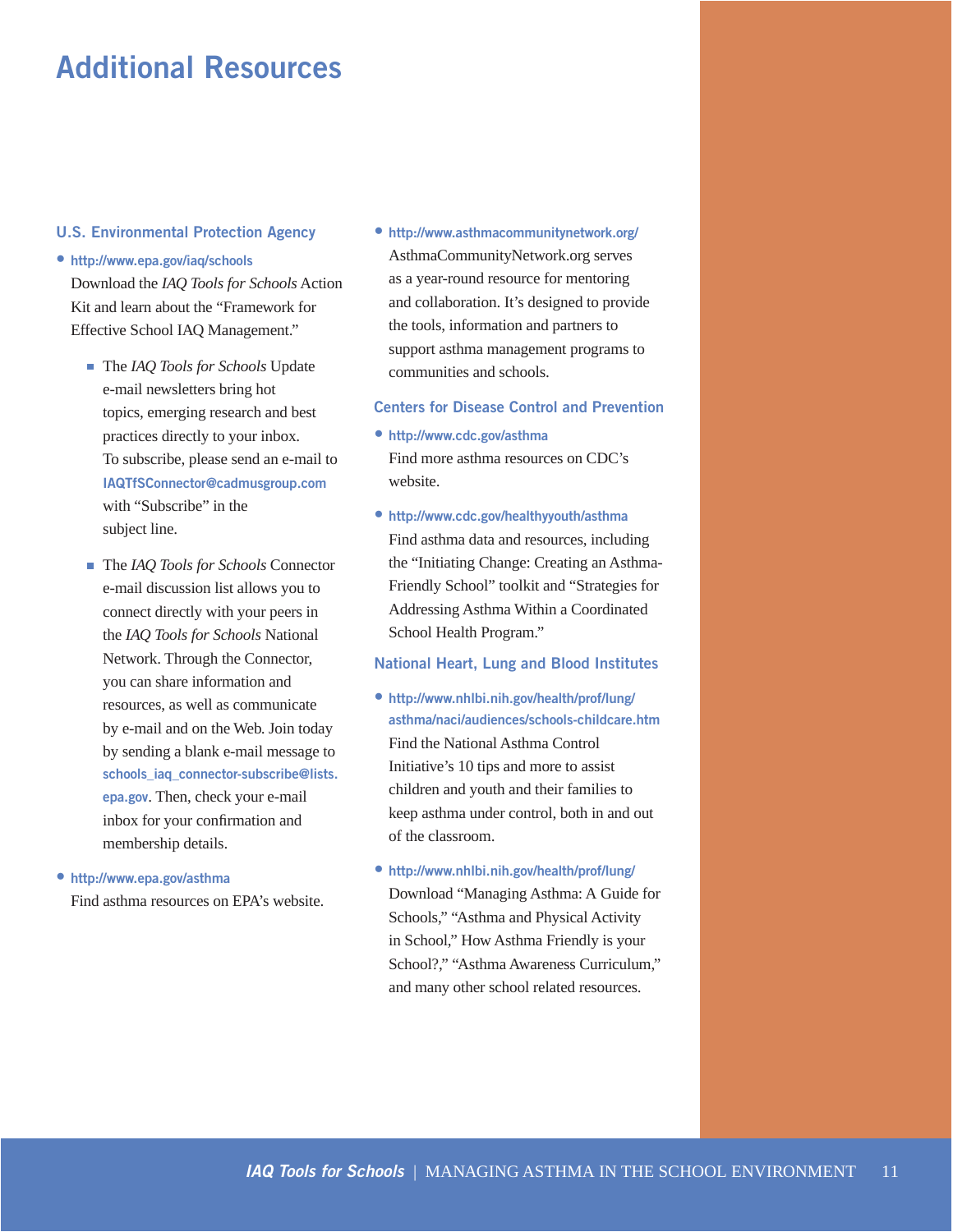# **Additional Resources**

#### **U.S. Environmental Protection Agency**

#### **• http://www.epa.gov/iaq/schools**

Download the *IAQ Tools for Schools* Action Kit and learn about the "Framework for Effective School IAQ Management."

- The *IAQ Tools for Schools* Update e-mail newsletters bring hot topics, emerging research and best practices directly to your inbox. To subscribe, please send an e-mail to **IAQTfSConnector@cadmusgroup.com**  with "Subscribe" in the subject line.
- The *IAQ Tools for Schools* Connector e-mail discussion list allows you to connect directly with your peers in the *IAQ Tools for Schools* National Network. Through the Connector, you can share information and resources, as well as communicate by e-mail and on the Web. Join today by sending a blank e-mail message to **schools\_iaq\_connector-subscribe@lists. epa.gov**. Then, check your e-mail inbox for your confirmation and membership details.
- **http://www.epa.gov/asthma**  Find asthma resources on EPA's website.

**• http://www.asthmacommunitynetwork.org/**  AsthmaCommunityNetwork.org serves as a year-round resource for mentoring and collaboration. It's designed to provide the tools, information and partners to support asthma management programs to communities and schools.

#### **Centers for Disease Control and Prevention**

- **http://www.cdc.gov/asthma**  Find more asthma resources on CDC's website.
- **http://www.cdc.gov/healthyyouth/asthma**  Find asthma data and resources, including the "Initiating Change: Creating an Asthma-Friendly School" toolkit and "Strategies for Addressing Asthma Within a Coordinated School Health Program."

#### **National Heart, Lung and Blood Institutes**

- **http://www.nhlbi.nih.gov/health/prof/lung/ asthma/naci/audiences/schools-childcare.htm**  Find the National Asthma Control Initiative's 10 tips and more to assist children and youth and their families to keep asthma under control, both in and out of the classroom.
- **http://www.nhlbi.nih.gov/health/prof/lung/**  Download "Managing Asthma: A Guide for Schools," "Asthma and Physical Activity in School," How Asthma Friendly is your School?," "Asthma Awareness Curriculum," and many other school related resources.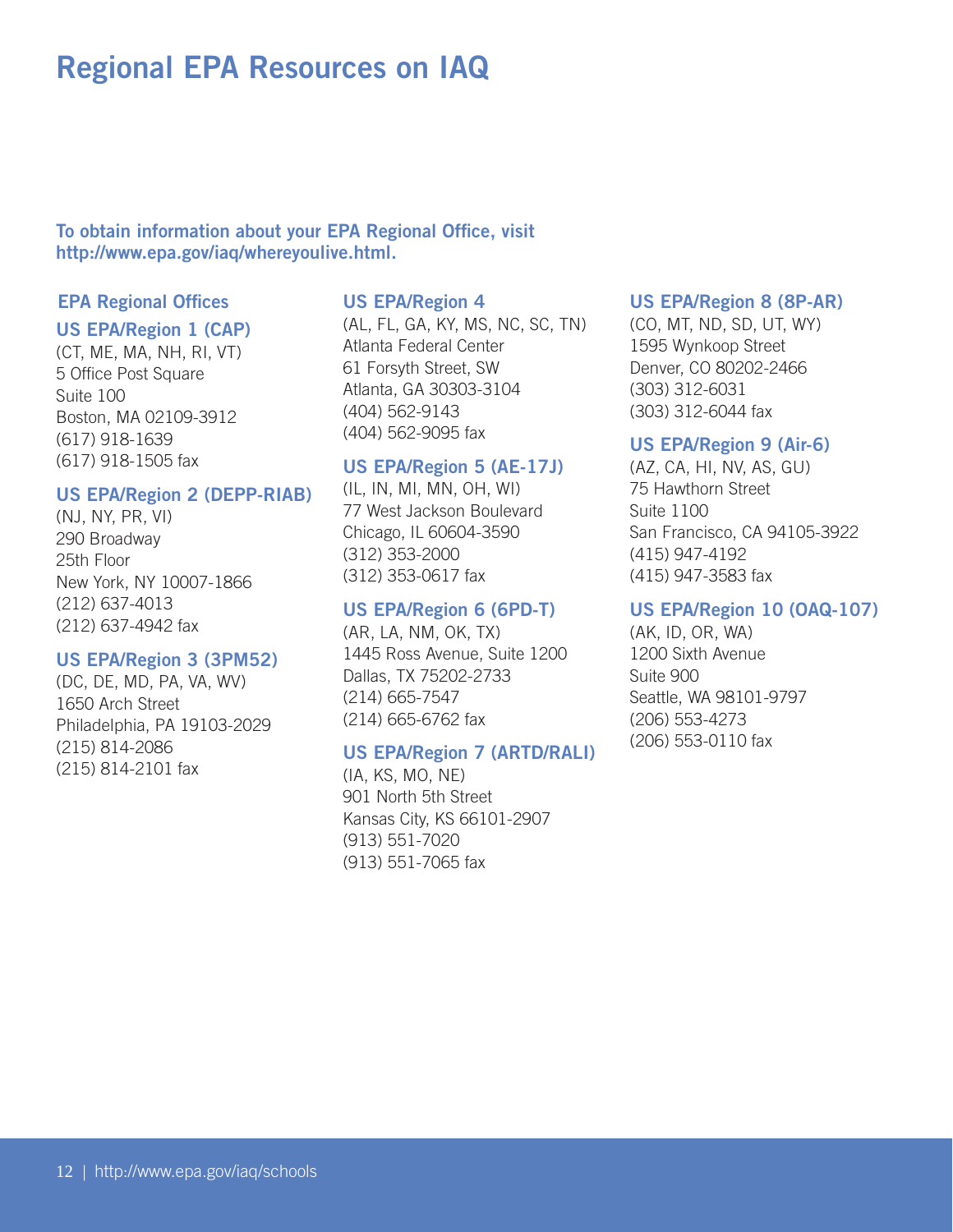# **Regional EPA Resources on IAQ**

**To obtain information about your EPA Regional Office, visit http://www.epa.gov/iaq/whereyoulive.html.** 

### **EPA Regional Offices**

#### **US EPA/Region 1 (CAP)**

(CT, ME, MA, NH, RI, VT) 5 Office Post Square Suite 100 Boston, MA 02109-3912 (617) 918-1639 (617) 918-1505 fax

#### **US EPA/Region 2 (DEPP-RIAB)**

(NJ, NY, PR, VI) 290 Broadway 25th Floor New York, NY 10007-1866 (212) 637-4013 (212) 637-4942 fax

#### **US EPA/Region 3 (3PM52)**

(DC, DE, MD, PA, VA, WV) 1650 Arch Street Philadelphia, PA 19103-2029 (215) 814-2086 (215) 814-2101 fax

### **US EPA/Region 4**

(AL, FL, GA, KY, MS, NC, SC, TN) Atlanta Federal Center 61 Forsyth Street, SW Atlanta, GA 30303-3104 (404) 562-9143 (404) 562-9095 fax

### **US EPA/Region 5 (AE-17J)**

(IL, IN, MI, MN, OH, WI) 77 West Jackson Boulevard Chicago, IL 60604-3590 (312) 353-2000 (312) 353-0617 fax

### **US EPA/Region 6 (6PD-T)**

(AR, LA, NM, OK, TX) 1445 Ross Avenue, Suite 1200 Dallas, TX 75202-2733 (214) 665-7547 (214) 665-6762 fax

#### **US EPA/Region 7 (ARTD/RALI)**

(IA, KS, MO, NE) 901 North 5th Street Kansas City, KS 66101-2907 (913) 551-7020 (913) 551-7065 fax

### **US EPA/Region 8 (8P-AR)**

(CO, MT, ND, SD, UT, WY) 1595 Wynkoop Street Denver, CO 80202-2466 (303) 312-6031 (303) 312-6044 fax

#### **US EPA/Region 9 (Air-6)**

(AZ, CA, HI, NV, AS, GU) 75 Hawthorn Street Suite 1100 San Francisco, CA 94105-3922 (415) 947-4192 (415) 947-3583 fax

### **US EPA/Region 10 (OAQ-107)**

(AK, ID, OR, WA) 1200 Sixth Avenue Suite 900 Seattle, WA 98101-9797 (206) 553-4273 (206) 553-0110 fax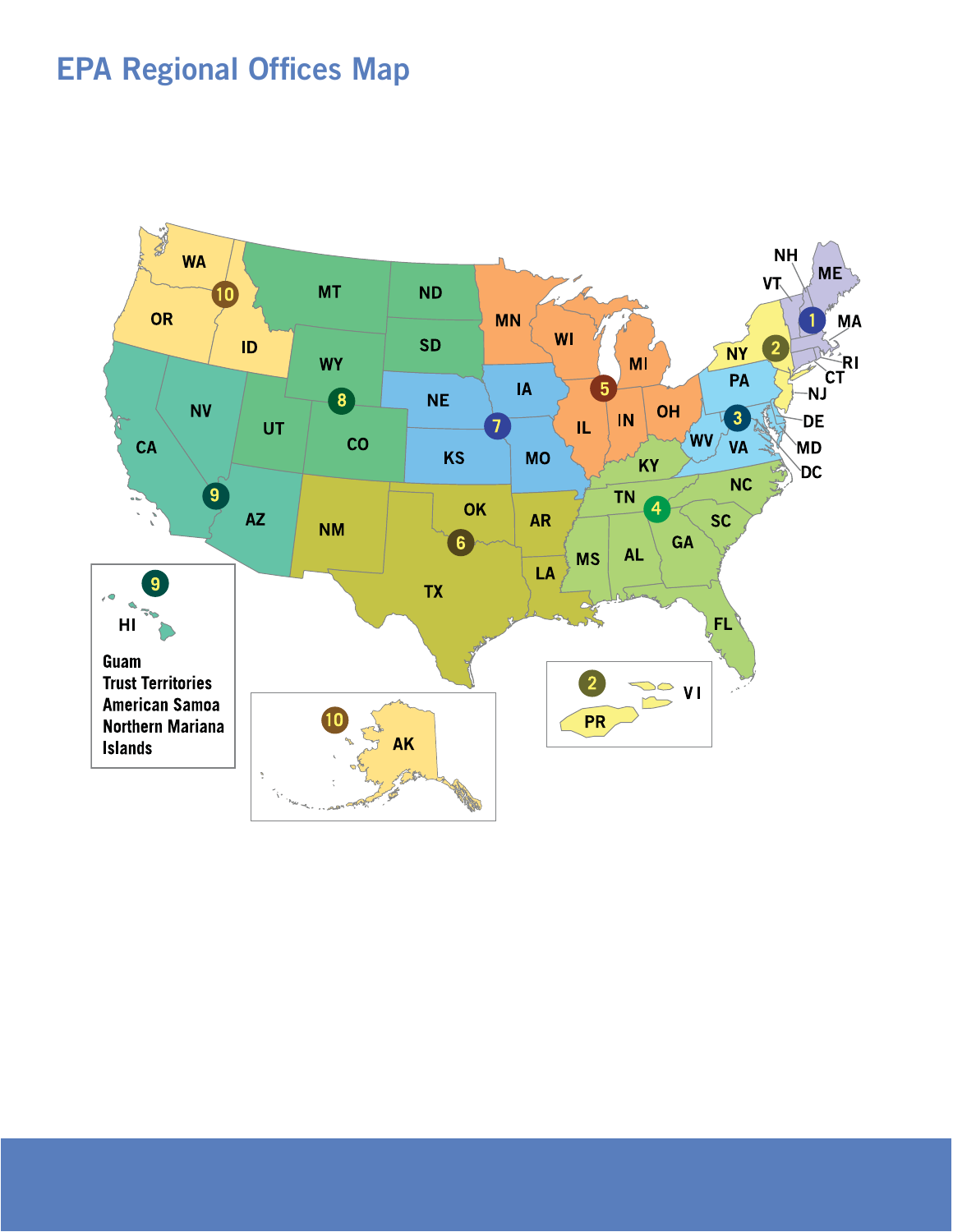# **EPA Regional Offices Map**